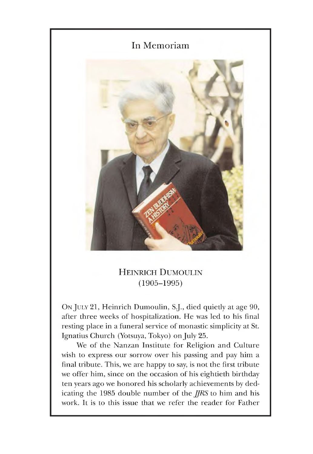

## HEINRICH DUMOULIN (1905-1995)

On JULY 21, Heinrich Dumoulin, S.J., died quietly at age 90, after three weeks of hospitalization. He was led to his final resting place in a funeral service of monastic simplicity at St. Ignatius Church (Yotsuya, Tokyo) on July 25.

We of the Nanzan Institute for Religion and Culture wish to express our sorrow over his passing and pay him a final tribute. This, we are happy to say, is not the first tribute we offer him, since on the occasion of his eightieth birthday ten years ago we honored his scholarly achievements by dedicating the 1985 double number of the *JJRS* to him and his work. It is to this issue that we refer the reader for Father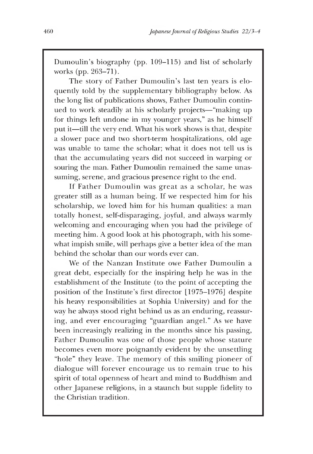Dumoulin's biography (pp. 109–115) and list of scholarly works (pp. 263-71).

The story of Father Dumoulin's last ten years is eloquently told by the supplementary bibliography below. As the long list of publications shows, Father Dumoulin continued to work steadily at his scholarly projects— "making up for things left undone in my younger years," as he himself put it— till the very end. What his work shows is that, despite a slower pace and two short-term hospitalizations, old age was unable to tame the scholar; what it does not tell us is that the accumulating years did not succeed in warping or souring the man. Father Dumoulin remained the same unassuming, serene, and gracious presence right to the end.

If Father Dumoulin was great as a scholar, he was greater still as a human being. If we respected him for his scholarship, we loved him for his human qualities: a man totally honest, self-disparaging, joyful, and always warmly welcoming and encouraging when you had the privilege of meeting him. A good look at his photograph, with his somewhat impish smile, will perhaps give a better idea of the man behind the scholar than our words ever can.

We of the Nanzan Institute owe Father Dumoulin a great debt, especially for the inspiring help he was in the establishment of the Institute (to the point of accepting the position of the Institute's first director [1975-1976] despite his heavy responsibilities at Sophia University) and for the way he always stood right behind us as an enduring, reassuring, and ever encouraging "guardian angel." As we have been increasingly realizing in the months since his passing, Father Dumoulin was one of those people whose stature becomes even more poignantly evident by the unsettling "hole" they leave. The memory of this smiling pioneer of dialogue will forever encourage us to remain true to his spirit of total openness of heart and mind to Buddhism and other Japanese religions, in a staunch but supple fidelity to the Christian tradition.